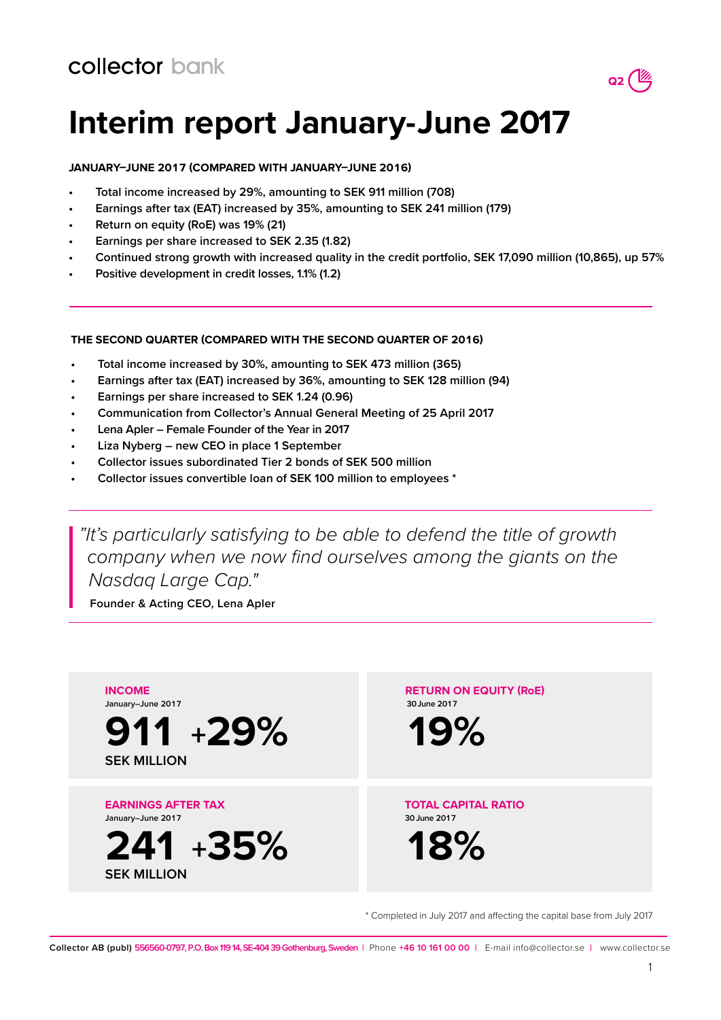

# **Interim report January-June 2017**

## **JANUARY–JUNE 2017 (COMPARED WITH JANUARY–JUNE 2016)**

- **• Total income increased by 29%, amounting to SEK 911 million (708)**
- **• Earnings after tax (EAT) increased by 35%, amounting to SEK 241 million (179)**
- **• Return on equity (RoE) was 19% (21)**
- **• Earnings per share increased to SEK 2.35 (1.82)**
- **• Continued strong growth with increased quality in the credit portfolio, SEK 17,090 million (10,865), up 57%**
- **• Positive development in credit losses, 1.1% (1.2)**

## **THE SECOND QUARTER (COMPARED WITH THE SECOND QUARTER OF 2016)**

- **• Total income increased by 30%, amounting to SEK 473 million (365)**
- **• Earnings after tax (EAT) increased by 36%, amounting to SEK 128 million (94)**
- **• Earnings per share increased to SEK 1.24 (0.96)**
- **• Communication from Collector's Annual General Meeting of 25 April 2017**
- **• Lena Apler Female Founder of the Year in 2017**
- **• Liza Nyberg new CEO in place 1 September**
- **• Collector issues subordinated Tier 2 bonds of SEK 500 million**
- **• Collector issues convertible loan of SEK 100 million to employees \***

*"It's particularly satisfying to be able to defend the title of growth company when we now find ourselves among the giants on the Nasdaq Large Cap."*

**Founder & Acting CEO, Lena Apler**



\* Completed in July 2017 and affecting the capital base from July 2017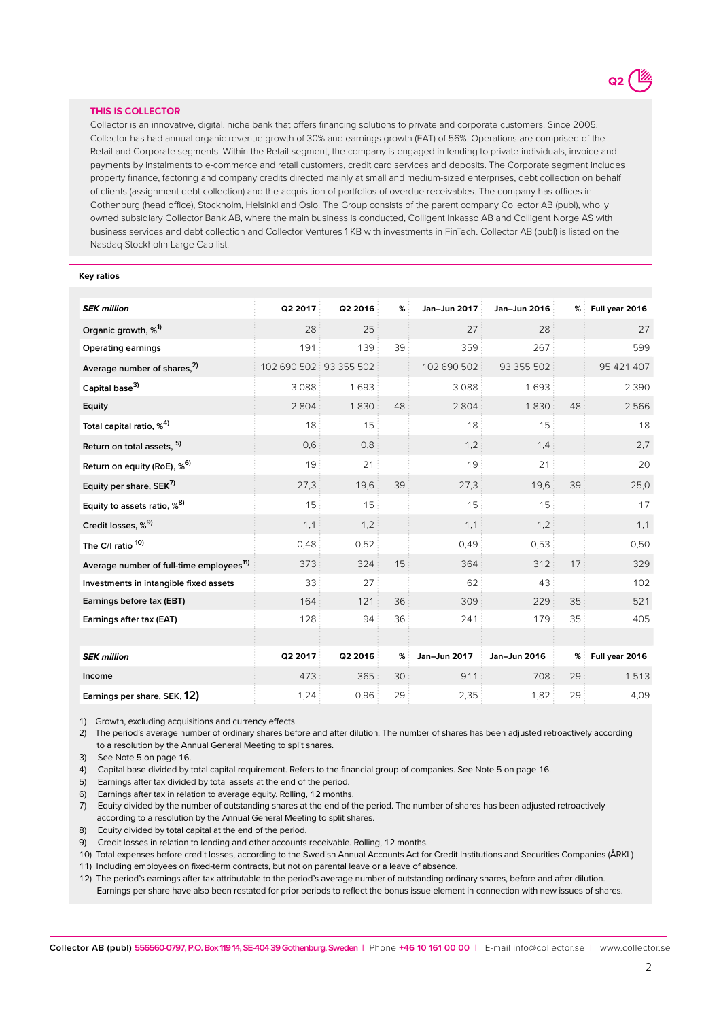

### **THIS IS COLLECTOR**

Collector is an innovative, digital, niche bank that offers financing solutions to private and corporate customers. Since 2005, Collector has had annual organic revenue growth of 30% and earnings growth (EAT) of 56%. Operations are comprised of the Retail and Corporate segments. Within the Retail segment, the company is engaged in lending to private individuals, invoice and payments by instalments to e-commerce and retail customers, credit card services and deposits. The Corporate segment includes property finance, factoring and company credits directed mainly at small and medium-sized enterprises, debt collection on behalf of clients (assignment debt collection) and the acquisition of portfolios of overdue receivables. The company has offices in Gothenburg (head office), Stockholm, Helsinki and Oslo. The Group consists of the parent company Collector AB (publ), wholly owned subsidiary Collector Bank AB, where the main business is conducted, Colligent Inkasso AB and Colligent Norge AS with business services and debt collection and Collector Ventures 1 KB with investments in FinTech. Collector AB (publ) is listed on the Nasdaq Stockholm Large Cap list.

#### **Key ratios**

| <b>SEK million</b>                                   | Q2 2017                | Q2 2016 | %  | Jan-Jun 2017 | Jan-Jun 2016 | %  | Full year 2016 |
|------------------------------------------------------|------------------------|---------|----|--------------|--------------|----|----------------|
| Organic growth, % <sup>1)</sup>                      | 28                     | 25      |    | 27           | 28           |    | 27             |
| <b>Operating earnings</b>                            | 191                    | 139     | 39 | 359          | 267          |    | 599            |
| Average number of shares, <sup>2)</sup>              | 102 690 502 93 355 502 |         |    | 102 690 502  | 93 355 502   |    | 95 421 407     |
| Capital base <sup>3)</sup>                           | 3088                   | 1693    |    | 3088         | 1693         |    | 2 3 9 0        |
| Equity                                               | 2804                   | 1830    | 48 | 2804         | 1830         | 48 | 2566           |
| Total capital ratio, % <sup>4)</sup>                 | 18                     | 15      |    | 18           | 15           |    | 18             |
| Return on total assets, 5)                           | 0,6                    | 0,8     |    | 1,2          | 1,4          |    | 2,7            |
| Return on equity (RoE), % <sup>6)</sup>              | 19                     | 21      |    | 19           | 21           |    | 20             |
| Equity per share, SEK <sup>7)</sup>                  | 27,3                   | 19,6    | 39 | 27,3         | 19,6         | 39 | 25,0           |
| Equity to assets ratio, % <sup>8)</sup>              | 15                     | 15      |    | 15           | 15           |    | 17             |
| Credit losses, %9)                                   | 1,1                    | 1,2     |    | 1,1          | 1,2          |    | 1,1            |
| The C/I ratio <sup>10)</sup>                         | 0,48                   | 0,52    |    | 0,49         | 0,53         |    | 0,50           |
| Average number of full-time employees <sup>11)</sup> | 373                    | 324     | 15 | 364          | 312          | 17 | 329            |
| Investments in intangible fixed assets               | 33                     | 27      |    | 62           | 43           |    | 102            |
| Earnings before tax (EBT)                            | 164                    | 121     | 36 | 309          | 229          | 35 | 521            |
| Earnings after tax (EAT)                             | 128                    | 94      | 36 | 241          | 179          | 35 | 405            |
|                                                      |                        |         |    |              |              |    |                |
| <b>SEK</b> million                                   | Q2 2017                | Q2 2016 | %  | Jan-Jun 2017 | Jan-Jun 2016 | %  | Full year 2016 |
| Income                                               | 473                    | 365     | 30 | 911          | 708          | 29 | 1513           |
| Earnings per share, SEK, 12)                         | 1,24                   | 0,96    | 29 | 2,35         | 1,82         | 29 | 4,09           |

1) Growth, excluding acquisitions and currency effects.

2) The period's average number of ordinary shares before and after dilution. The number of shares has been adjusted retroactively according to a resolution by the Annual General Meeting to split shares.

3) See Note 5 on page 16.

4) Capital base divided by total capital requirement. Refers to the financial group of companies. See Note 5 on page 16.

5) Earnings after tax divided by total assets at the end of the period.

6) Earnings after tax in relation to average equity. Rolling, 12 months.

7) Equity divided by the number of outstanding shares at the end of the period. The number of shares has been adjusted retroactively according to a resolution by the Annual General Meeting to split shares.

8) Equity divided by total capital at the end of the period.

9) Credit losses in relation to lending and other accounts receivable. Rolling, 12 months.

10) Total expenses before credit losses, according to the Swedish Annual Accounts Act for Credit Institutions and Securities Companies (ÅRKL)

11) Including employees on fixed-term contracts, but not on parental leave or a leave of absence.

12) The period's earnings after tax attributable to the period's average number of outstanding ordinary shares, before and after dilution. Earnings per share have also been restated for prior periods to reflect the bonus issue element in connection with new issues of shares.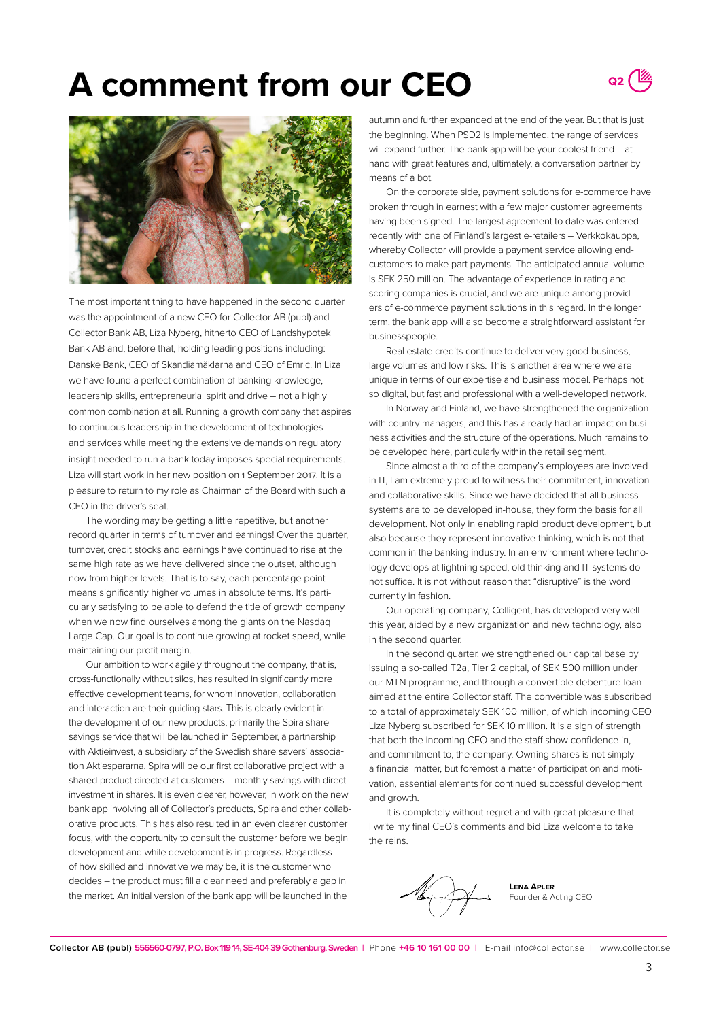# **A comment from our CEO**





The most important thing to have happened in the second quarter was the appointment of a new CEO for Collector AB (publ) and Collector Bank AB, Liza Nyberg, hitherto CEO of Landshypotek Bank AB and, before that, holding leading positions including: Danske Bank, CEO of Skandiamäklarna and CEO of Emric. In Liza we have found a perfect combination of banking knowledge, leadership skills, entrepreneurial spirit and drive – not a highly common combination at all. Running a growth company that aspires to continuous leadership in the development of technologies and services while meeting the extensive demands on regulatory insight needed to run a bank today imposes special requirements. Liza will start work in her new position on 1 September 2017. It is a pleasure to return to my role as Chairman of the Board with such a CEO in the driver's seat.

The wording may be getting a little repetitive, but another record quarter in terms of turnover and earnings! Over the quarter, turnover, credit stocks and earnings have continued to rise at the same high rate as we have delivered since the outset, although now from higher levels. That is to say, each percentage point means significantly higher volumes in absolute terms. It's particularly satisfying to be able to defend the title of growth company when we now find ourselves among the giants on the Nasdaq Large Cap. Our goal is to continue growing at rocket speed, while maintaining our profit margin.

Our ambition to work agilely throughout the company, that is, cross-functionally without silos, has resulted in significantly more effective development teams, for whom innovation, collaboration and interaction are their guiding stars. This is clearly evident in the development of our new products, primarily the Spira share savings service that will be launched in September, a partnership with Aktieinvest, a subsidiary of the Swedish share savers' association Aktiespararna. Spira will be our first collaborative project with a shared product directed at customers – monthly savings with direct investment in shares. It is even clearer, however, in work on the new bank app involving all of Collector's products, Spira and other collaborative products. This has also resulted in an even clearer customer focus, with the opportunity to consult the customer before we begin development and while development is in progress. Regardless of how skilled and innovative we may be, it is the customer who decides – the product must fill a clear need and preferably a gap in the market. An initial version of the bank app will be launched in the

autumn and further expanded at the end of the year. But that is just the beginning. When PSD2 is implemented, the range of services will expand further. The bank app will be your coolest friend – at hand with great features and, ultimately, a conversation partner by means of a bot.

On the corporate side, payment solutions for e-commerce have broken through in earnest with a few major customer agreements having been signed. The largest agreement to date was entered recently with one of Finland's largest e-retailers – Verkkokauppa, whereby Collector will provide a payment service allowing endcustomers to make part payments. The anticipated annual volume is SEK 250 million. The advantage of experience in rating and scoring companies is crucial, and we are unique among providers of e-commerce payment solutions in this regard. In the longer term, the bank app will also become a straightforward assistant for businesspeople.

Real estate credits continue to deliver very good business, large volumes and low risks. This is another area where we are unique in terms of our expertise and business model. Perhaps not so digital, but fast and professional with a well-developed network.

In Norway and Finland, we have strengthened the organization with country managers, and this has already had an impact on business activities and the structure of the operations. Much remains to be developed here, particularly within the retail segment.

Since almost a third of the company's employees are involved in IT, I am extremely proud to witness their commitment, innovation and collaborative skills. Since we have decided that all business systems are to be developed in-house, they form the basis for all development. Not only in enabling rapid product development, but also because they represent innovative thinking, which is not that common in the banking industry. In an environment where technology develops at lightning speed, old thinking and IT systems do not suffice. It is not without reason that "disruptive" is the word currently in fashion.

Our operating company, Colligent, has developed very well this year, aided by a new organization and new technology, also in the second quarter.

In the second quarter, we strengthened our capital base by issuing a so-called T2a, Tier 2 capital, of SEK 500 million under our MTN programme, and through a convertible debenture loan aimed at the entire Collector staff. The convertible was subscribed to a total of approximately SEK 100 million, of which incoming CEO Liza Nyberg subscribed for SEK 10 million. It is a sign of strength that both the incoming CEO and the staff show confidence in, and commitment to, the company. Owning shares is not simply a financial matter, but foremost a matter of participation and motivation, essential elements for continued successful development and growth.

It is completely without regret and with great pleasure that I write my final CEO's comments and bid Liza welcome to take the reins.



**Lena Apler** Founder & Acting CEO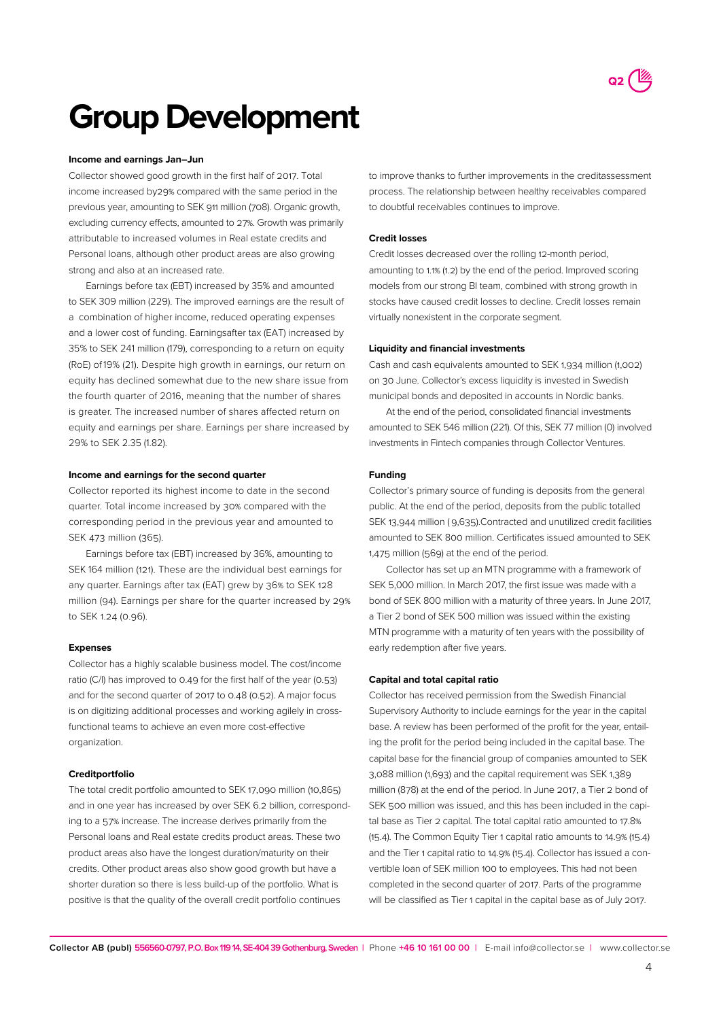

# **Group Development**

#### **Income and earnings Jan–Jun**

Collector showed good growth in the first half of 2017. Total income increased by29% compared with the same period in the previous year, amounting to SEK 911 million (708). Organic growth, excluding currency effects, amounted to 27%. Growth was primarily attributable to increased volumes in Real estate credits and Personal loans, although other product areas are also growing strong and also at an increased rate.

Earnings before tax (EBT) increased by 35% and amounted to SEK 309  million (229). The improved earnings are the result of a combination of higher income, reduced operating expenses and a lower cost of funding. Earningsafter tax (EAT) increased by 35% to SEK 241 million (179), corresponding to a return on equity (RoE) of 19% (21). Despite high growth in earnings, our return on equity has declined somewhat due to the new share issue from the fourth quarter of 2016, meaning that the number of shares is greater. The increased number of shares affected return on equity and earnings per share. Earnings per share increased by 29% to SEK 2.35 (1.82).

### **Income and earnings for the second quarter**

Collector reported its highest income to date in the second quarter. Total income increased by 30% compared with the corresponding period in the previous year and amounted to SEK 473 million (365).

Earnings before tax (EBT) increased by 36%, amounting to SEK 164 million (121). These are the individual best earnings for any quarter. Earnings after tax (EAT) grew by 36% to SEK 128 million (94). Earnings per share for the quarter increased by 29% to SEK 1.24 (0.96).

#### **Expenses**

Collector has a highly scalable business model. The cost/income ratio (C/I) has improved to 0.49 for the first half of the year (0.53) and for the second quarter of 2017 to 0.48 (0.52). A major focus is on digitizing additional processes and working agilely in crossfunctional teams to achieve an even more cost-effective organization

### **Creditportfolio**

The total credit portfolio amounted to SEK 17,090 million (10,865) and in one year has increased by over SEK 6.2 billion, corresponding to a 57% increase. The increase derives primarily from the Personal loans and Real estate credits product areas. These two product areas also have the longest duration/maturity on their credits. Other product areas also show good growth but have a shorter duration so there is less build-up of the portfolio. What is positive is that the quality of the overall credit portfolio continues

to improve thanks to further improvements in the creditassessment process. The relationship between healthy receivables compared to doubtful receivables continues to improve.

### **Credit losses**

Credit losses decreased over the rolling 12-month period, amounting to 1.1% (1.2) by the end of the period. Improved scoring models from our strong BI team, combined with strong growth in stocks have caused credit losses to decline. Credit losses remain virtually nonexistent in the corporate segment.

#### **Liquidity and financial investments**

Cash and cash equivalents amounted to SEK 1,934 million (1,002) on 30 June. Collector's excess liquidity is invested in Swedish municipal bonds and deposited in accounts in Nordic banks.

At the end of the period, consolidated financial investments amounted to SEK 546 million (221). Of this, SEK 77 million (0) involved investments in Fintech companies through Collector Ventures.

### **Funding**

Collector's primary source of funding is deposits from the general public. At the end of the period, deposits from the public totalled SEK 13,944 million ( 9,635).Contracted and unutilized credit facilities amounted to SEK 800 million. Certificates issued amounted to SEK 1,475 million (569) at the end of the period.

Collector has set up an MTN programme with a framework of SEK 5,000 million. In March 2017, the first issue was made with a bond of SEK 800 million with a maturity of three years. In June 2017, a Tier 2 bond of SEK 500 million was issued within the existing MTN programme with a maturity of ten years with the possibility of early redemption after five years.

### **Capital and total capital ratio**

Collector has received permission from the Swedish Financial Supervisory Authority to include earnings for the year in the capital base. A review has been performed of the profit for the year, entailing the profit for the period being included in the capital base. The capital base for the financial group of companies amounted to SEK 3,088 million (1,693) and the capital requirement was SEK 1,389 million (878) at the end of the period. In June 2017, a Tier 2 bond of SEK 500 million was issued, and this has been included in the capital base as Tier 2 capital. The total capital ratio amounted to 17.8% (15.4). The Common Equity Tier 1 capital ratio amounts to 14.9% (15.4) and the Tier 1 capital ratio to 14.9% (15.4). Collector has issued a convertible loan of SEK million 100 to employees. This had not been completed in the second quarter of 2017. Parts of the programme will be classified as Tier 1 capital in the capital base as of July 2017.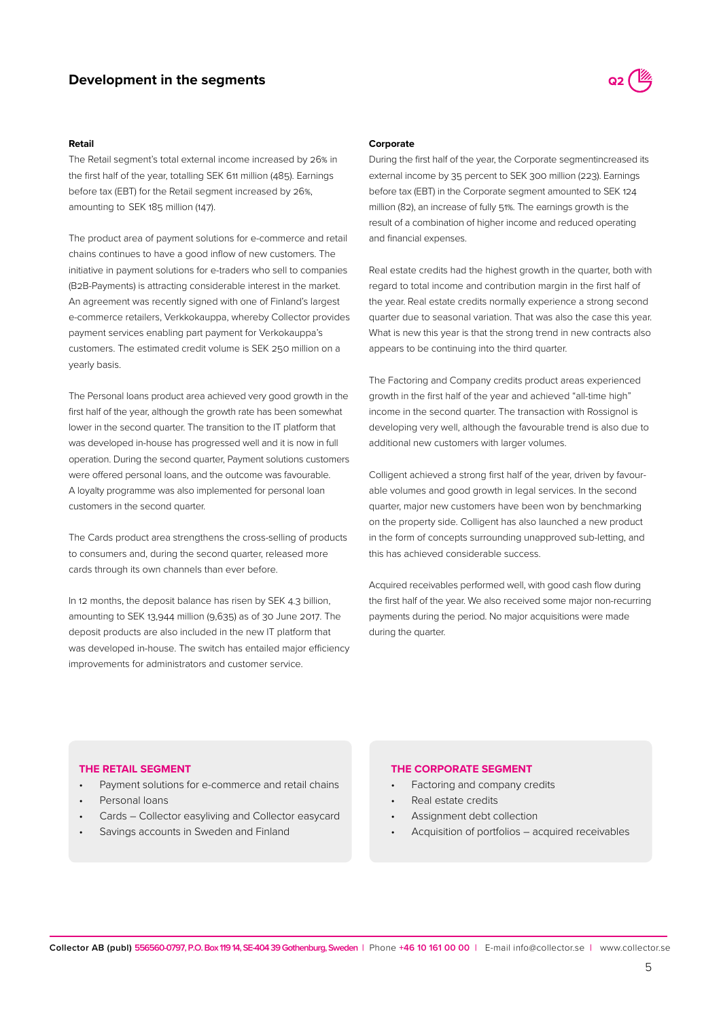## **Development in the segments**

## **Retail**

The Retail segment's total external income increased by 26% in the first half of the year, totalling SEK 611 million (485). Earnings before tax (EBT) for the Retail segment increased by 26%, amounting to  SEK 185 million (147).

The product area of payment solutions for e-commerce and retail chains continues to have a good inflow of new customers. The initiative in payment solutions for e-traders who sell to companies (B2B-Payments) is attracting considerable interest in the market. An agreement was recently signed with one of Finland's largest e-commerce retailers, Verkkokauppa, whereby Collector provides payment services enabling part payment for Verkokauppa's customers. The estimated credit volume is SEK 250 million on a yearly basis.

The Personal loans product area achieved very good growth in the first half of the year, although the growth rate has been somewhat lower in the second quarter. The transition to the IT platform that was developed in-house has progressed well and it is now in full operation. During the second quarter, Payment solutions customers were offered personal loans, and the outcome was favourable. A loyalty programme was also implemented for personal loan customers in the second quarter.

The Cards product area strengthens the cross-selling of products to consumers and, during the second quarter, released more cards through its own channels than ever before.

In 12 months, the deposit balance has risen by SEK 4.3 billion, amounting to SEK 13,944 million (9,635) as of 30 June 2017. The deposit products are also included in the new IT platform that was developed in-house. The switch has entailed major efficiency improvements for administrators and customer service.

### **Corporate**

During the first half of the year, the Corporate segmentincreased its external income by 35 percent to SEK 300 million (223). Earnings before tax (EBT) in the Corporate segment amounted to SEK 124 million (82), an increase of fully 51%. The earnings growth is the result of a combination of higher income and reduced operating and financial expenses.

Real estate credits had the highest growth in the quarter, both with regard to total income and contribution margin in the first half of the year. Real estate credits normally experience a strong second quarter due to seasonal variation. That was also the case this year. What is new this year is that the strong trend in new contracts also appears to be continuing into the third quarter.

The Factoring and Company credits product areas experienced growth in the first half of the year and achieved "all-time high" income in the second quarter. The transaction with Rossignol is developing very well, although the favourable trend is also due to additional new customers with larger volumes.

Colligent achieved a strong first half of the year, driven by favourable volumes and good growth in legal services. In the second quarter, major new customers have been won by benchmarking on the property side. Colligent has also launched a new product in the form of concepts surrounding unapproved sub-letting, and this has achieved considerable success.

Acquired receivables performed well, with good cash flow during the first half of the year. We also received some major non-recurring payments during the period. No major acquisitions were made during the quarter.

### **THE RETAIL SEGMENT**

- Payment solutions for e-commerce and retail chains
- Personal loans
- Cards Collector easyliving and Collector easycard
- Savings accounts in Sweden and Finland

#### **THE CORPORATE SEGMENT**

- Factoring and company credits
- Real estate credits
- Assignment debt collection
- Acquisition of portfolios acquired receivables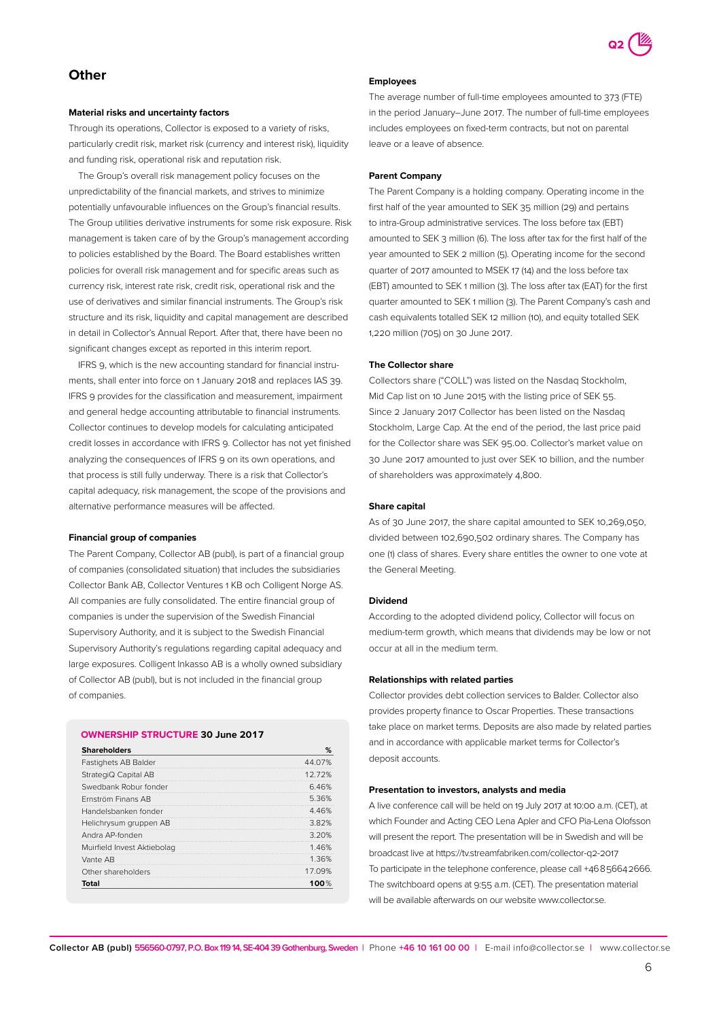

## **Other**

## **Material risks and uncertainty factors**

Through its operations, Collector is exposed to a variety of risks, particularly credit risk, market risk (currency and interest risk), liquidity and funding risk, operational risk and reputation risk.

The Group's overall risk management policy focuses on the unpredictability of the financial markets, and strives to minimize potentially unfavourable influences on the Group's financial results. The Group utilities derivative instruments for some risk exposure. Risk management is taken care of by the Group's management according to policies established by the Board. The Board establishes written policies for overall risk management and for specific areas such as currency risk, interest rate risk, credit risk, operational risk and the use of derivatives and similar financial instruments. The Group's risk structure and its risk, liquidity and capital management are described in detail in Collector's Annual Report. After that, there have been no significant changes except as reported in this interim report.

IFRS 9, which is the new accounting standard for financial instruments, shall enter into force on 1 January 2018 and replaces IAS 39. IFRS 9 provides for the classification and measurement, impairment and general hedge accounting attributable to financial instruments. Collector continues to develop models for calculating anticipated credit losses in accordance with IFRS 9. Collector has not yet finished analyzing the consequences of IFRS 9 on its own operations, and that process is still fully underway. There is a risk that Collector's capital adequacy, risk management, the scope of the provisions and alternative performance measures will be affected.

#### **Financial group of companies**

The Parent Company, Collector AB (publ), is part of a financial group of companies (consolidated situation) that includes the subsidiaries Collector Bank AB, Collector Ventures 1 KB och Colligent Norge AS. All companies are fully consolidated. The entire financial group of companies is under the supervision of the Swedish Financial Supervisory Authority, and it is subject to the Swedish Financial Supervisory Authority's regulations regarding capital adequacy and large exposures. Colligent Inkasso AB is a wholly owned subsidiary of Collector AB (publ), but is not included in the financial group of companies.

## **OWNERSHIP STRUCTURE 30 June 2017**

| <b>Shareholders</b>         | %       |
|-----------------------------|---------|
| Fastighets AB Balder        | 44.07%  |
| StrategiQ Capital AB        | 1272%   |
| Swedbank Robur fonder       | 6.46%   |
| Frnström Finans AB          | 5.36%   |
| Handelsbanken fonder        | 4.46%   |
| Helichrysum gruppen AB      | 3.82%   |
| Andra AP-fonden             | 3.20%   |
| Muirfield Invest Aktiebolag | 1.46%   |
| Vante AB                    | 1.36%   |
| Other shareholders          | 17.09%  |
| Total                       | 100 $%$ |

#### **Employees**

The average number of full-time employees amounted to 373 (FTE) in the period January–June 2017. The number of full-time employees includes employees on fixed-term contracts, but not on parental leave or a leave of absence.

#### **Parent Company**

The Parent Company is a holding company. Operating income in the first half of the year amounted to SEK 35 million (29) and pertains to intra-Group administrative services. The loss before tax (EBT) amounted to SEK 3 million (6). The loss after tax for the first half of the year amounted to SEK 2 million (5). Operating income for the second quarter of 2017 amounted to MSEK 17 (14) and the loss before tax (EBT) amounted to SEK 1 million (3). The loss after tax (EAT) for the first quarter amounted to SEK 1 million (3). The Parent Company's cash and cash equivalents totalled SEK 12 million (10), and equity totalled SEK 1,220 million (705) on 30 June 2017.

### **The Collector share**

Collectors share ("COLL") was listed on the Nasdaq Stockholm, Mid Cap list on 10 June 2015 with the listing price of SEK 55. Since 2 January 2017 Collector has been listed on the Nasdaq Stockholm, Large Cap. At the end of the period, the last price paid for the Collector share was SEK 95.00. Collector's market value on 30 June 2017 amounted to just over SEK 10 billion, and the number of shareholders was approximately 4,800.

#### **Share capital**

As of 30 June 2017, the share capital amounted to SEK 10,269,050, divided between 102,690,502 ordinary shares. The Company has one (1) class of shares. Every share entitles the owner to one vote at the General Meeting.

#### **Dividend**

According to the adopted dividend policy, Collector will focus on medium-term growth, which means that dividends may be low or not occur at all in the medium term.

### **Relationships with related parties**

Collector provides debt collection services to Balder. Collector also provides property finance to Oscar Properties. These transactions take place on market terms. Deposits are also made by related parties and in accordance with applicable market terms for Collector's deposit accounts.

## **Presentation to investors, analysts and media**

A live conference call will be held on 19 July 2017 at 10:00 a.m. (CET), at which Founder and Acting CEO Lena Apler and CFO Pia-Lena Olofsson will present the report. The presentation will be in Swedish and will be broadcast live at https://tv.streamfabriken.com/collector-q2-2017 To participate in the telephone conference, please call +46 8 5664 2666. The switchboard opens at 9:55 a.m. (CET). The presentation material will be available afterwards on our website www.collector.se.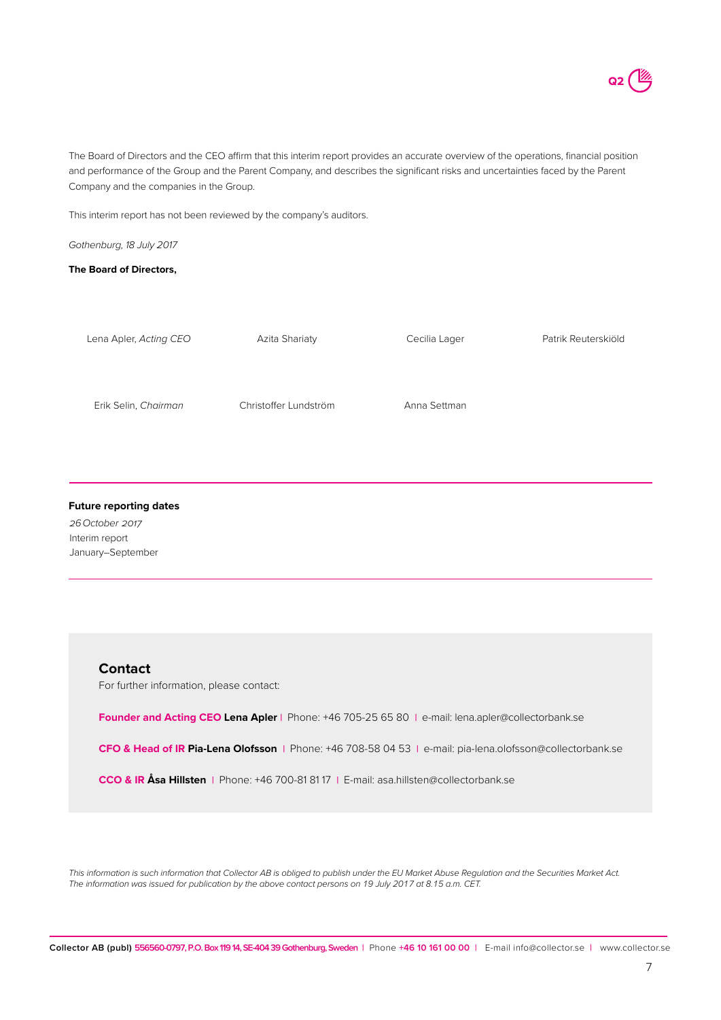The Board of Directors and the CEO affirm that this interim report provides an accurate overview of the operations, financial position and performance of the Group and the Parent Company, and describes the significant risks and uncertainties faced by the Parent Company and the companies in the Group.

This interim report has not been reviewed by the company's auditors.

*Gothenburg, 18 July 2017*

**The Board of Directors,** 

| Lena Apler, Acting CEO | Azita Shariaty        | Cecilia Lager | Patrik Reuterskiöld |
|------------------------|-----------------------|---------------|---------------------|
|                        |                       |               |                     |
| Erik Selin, Chairman   | Christoffer Lundström | Anna Settman  |                     |
|                        |                       |               |                     |

### **Future reporting dates**

*26 October 2017* Interim report January–September

## **Contact**

For further information, please contact:

**Founder and Acting CEO Lena Apler |** Phone: +46 705-25 65 80 **|** e-mail: lena.apler@collectorbank.se

**CFO & Head of IR Pia-Lena Olofsson |** Phone: +46 708-58 04 53 **|** e-mail: pia-lena.olofsson@collectorbank.se

**CCO & IR Åsa Hillsten |** Phone: +46 700-81 81 17 **|** E-mail: asa.hillsten@collectorbank.se

*This information is such information that Collector AB is obliged to publish under the EU Market Abuse Regulation and the Securities Market Act. The information was issued for publication by the above contact persons on 19 July 2017 at 8.15 a.m. CET.*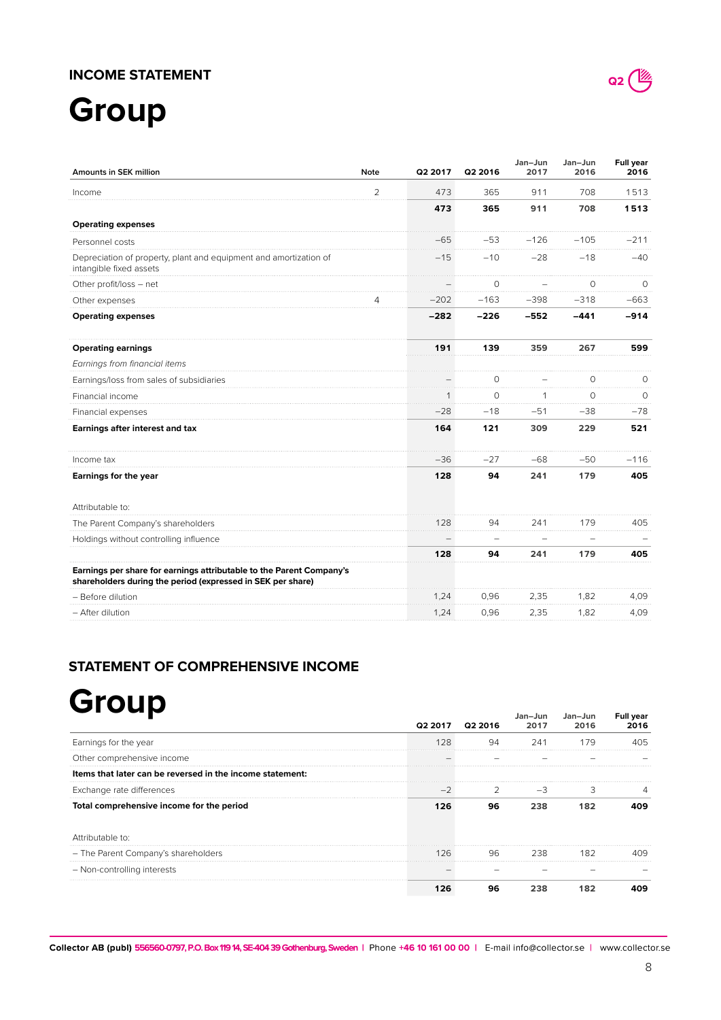## **INCOME STATEMENT**

# **Group**

| Amounts in SEK million                                                                                                              | <b>Note</b> | Q2 2017 | Q2 2016  | Jan-Jun<br>2017 | Jan-Jun<br>2016 | Full year<br>2016 |
|-------------------------------------------------------------------------------------------------------------------------------------|-------------|---------|----------|-----------------|-----------------|-------------------|
| Income                                                                                                                              | 2           | 473     | 365      | 911             | 708             | 1513              |
|                                                                                                                                     |             | 473     | 365      | 911             | 708             | 1513              |
| <b>Operating expenses</b>                                                                                                           |             |         |          |                 |                 |                   |
| Personnel costs                                                                                                                     |             | $-65$   | $-53$    | $-126$          | $-105$          | $-211$            |
| Depreciation of property, plant and equipment and amortization of<br>intangible fixed assets                                        |             | $-15$   | $-10$    | $-28$           | $-18$           | $-40$             |
| Other profit/loss - net                                                                                                             |             |         | 0        |                 | $\circ$         | 0                 |
| Other expenses                                                                                                                      | 4           | $-202$  | $-163$   | $-398$          | $-318$          | $-663$            |
| <b>Operating expenses</b>                                                                                                           |             | $-282$  | $-226$   | $-552$          | $-441$          | $-914$            |
| <b>Operating earnings</b>                                                                                                           |             | 191     | 139      | 359             | 267             | 599               |
| Earnings from financial items                                                                                                       |             |         |          |                 |                 |                   |
| Earnings/loss from sales of subsidiaries                                                                                            |             |         | O        |                 | 0               | $\Omega$          |
| Financial income                                                                                                                    |             | 1       | $\Omega$ | $\mathbf{1}$    | $\Omega$        | $\Omega$          |
| Financial expenses                                                                                                                  |             | $-28$   | $-18$    | $-51$           | $-38$           | $-78$             |
| Earnings after interest and tax                                                                                                     |             | 164     | 121      | 309             | 229             | 521               |
| Income tax                                                                                                                          |             | $-36$   | $-27$    | $-68$           | $-50$           | $-116$            |
| Earnings for the year                                                                                                               |             | 128     | 94       | 241             | 179             | 405               |
| Attributable to:                                                                                                                    |             |         |          |                 |                 |                   |
| The Parent Company's shareholders                                                                                                   |             | 128     | 94       | 241             | 179             | 405               |
| Holdings without controlling influence                                                                                              |             |         |          |                 |                 |                   |
|                                                                                                                                     |             | 128     | 94       | 241             | 179             | 405               |
| Earnings per share for earnings attributable to the Parent Company's<br>shareholders during the period (expressed in SEK per share) |             |         |          |                 |                 |                   |
| - Before dilution                                                                                                                   |             | 1,24    | 0,96     | 2,35            | 1,82            | 4,09              |
| - After dilution                                                                                                                    |             | 1,24    | 0,96     | 2,35            | 1,82            | 4,09              |

## **STATEMENT OF COMPREHENSIVE INCOME**

# **Group**

| '' '                                                      |     | Q2 2017 Q2 2016 | Jan–Jun<br>2017 | Jan–Jun<br>2016 | <b>Full year</b><br>2016 |
|-----------------------------------------------------------|-----|-----------------|-----------------|-----------------|--------------------------|
| Earnings for the year                                     | 128 | 94              | 241             | 179             | 405                      |
| Other comprehensive income                                |     |                 |                 |                 |                          |
| Items that later can be reversed in the income statement: |     |                 |                 |                 |                          |
| Exchange rate differences                                 |     |                 |                 | 3               |                          |
| Total comprehensive income for the period                 | 126 | 96              | 238             | 182             | იფ                       |
| Attributable to:                                          |     |                 |                 |                 |                          |
| - The Parent Company's shareholders                       | 126 | 96 —            | 238             | 182             |                          |
| - Non-controlling interests                               |     |                 |                 |                 |                          |
|                                                           | 126 | 96              |                 |                 |                          |

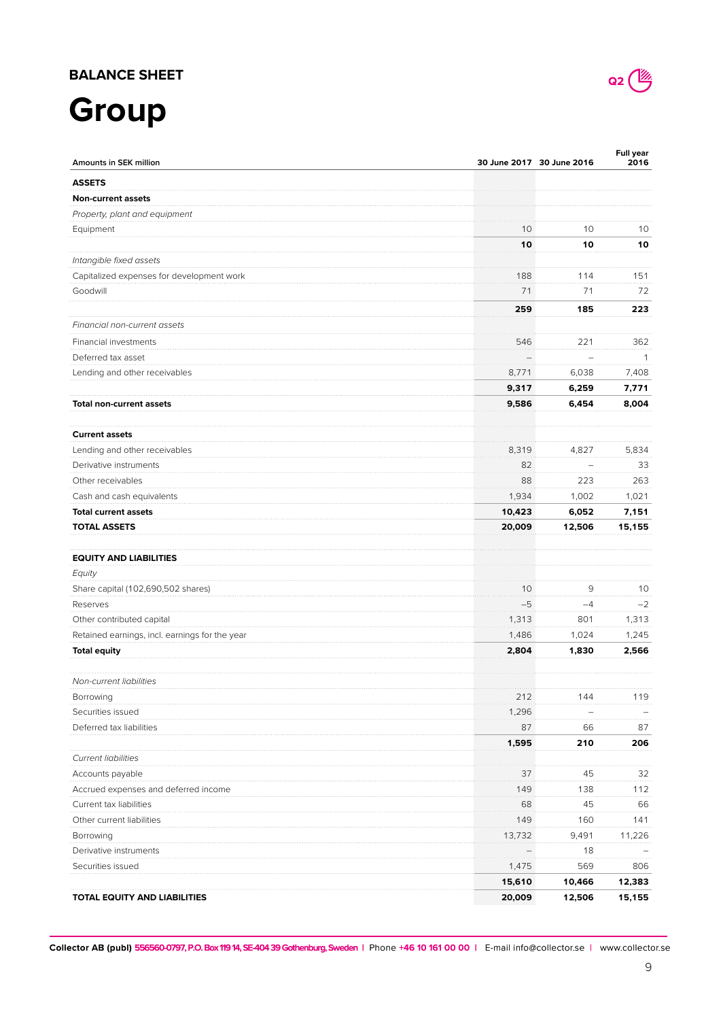## **BALANCE SHEET**

# **Group**

| Amounts in SEK million                         |        | 30 June 2017 30 June 2016 | <b>Full year</b><br>2016 |
|------------------------------------------------|--------|---------------------------|--------------------------|
| <b>ASSETS</b>                                  |        |                           |                          |
| <b>Non-current assets</b>                      |        |                           |                          |
| Property, plant and equipment                  |        |                           |                          |
| Equipment                                      | 10     | 10                        | 10                       |
|                                                | 10     | 10                        | 10                       |
| Intangible fixed assets                        |        |                           |                          |
| Capitalized expenses for development work      | 188    | 114                       | 151                      |
| Goodwill                                       | 71     | 71                        | 72                       |
|                                                | 259    | 185                       | 223                      |
| Financial non-current assets                   |        |                           |                          |
|                                                |        |                           |                          |
| Financial investments                          | 546    | 221                       | 362                      |
| Deferred tax asset                             |        |                           | -1                       |
| Lending and other receivables                  | 8,771  | 6,038                     | 7,408                    |
|                                                | 9,317  | 6,259                     | 7,771                    |
| <b>Total non-current assets</b>                | 9,586  | 6,454                     | 8,004                    |
| <b>Current assets</b>                          |        |                           |                          |
| Lending and other receivables                  | 8,319  | 4,827                     | 5,834                    |
| Derivative instruments                         | 82     |                           | 33                       |
| Other receivables                              | 88     | 223                       | 263                      |
| Cash and cash equivalents                      | 1,934  | 1,002                     | 1,021                    |
| <b>Total current assets</b>                    | 10,423 | 6,052                     | 7,151                    |
| <b>TOTAL ASSETS</b>                            | 20,009 | 12,506                    | 15,155                   |
|                                                |        |                           |                          |
| <b>EQUITY AND LIABILITIES</b>                  |        |                           |                          |
| Equity                                         |        |                           |                          |
| Share capital (102,690,502 shares)             | 10     | 9                         | 10                       |
| Reserves                                       | $-5$   | $-4$                      | $-2$                     |
| Other contributed capital                      | 1,313  | 801                       | 1,313                    |
| Retained earnings, incl. earnings for the year | 1,486  | 1,024                     | 1,245                    |
| <b>Total equity</b>                            | 2,804  | 1,830                     | 2,566                    |
| Non-current liabilities                        |        |                           |                          |
| Borrowing                                      | 212    | 144                       | 119                      |
| Securities issued                              | 1,296  |                           |                          |
| Deferred tax liabilities                       | 87     | 66                        | 87                       |
|                                                | 1,595  | 210                       | 206                      |
| <b>Current liabilities</b>                     |        |                           |                          |
| Accounts payable                               | 37     | 45                        | 32                       |
| Accrued expenses and deferred income           | 149    | 138                       | 112                      |
| Current tax liabilities                        | 68     | 45                        | 66                       |
| Other current liabilities                      | 149    | 160                       | 141                      |
| Borrowing                                      | 13,732 | 9,491                     | 11,226                   |
| Derivative instruments                         |        | 18                        |                          |
| Securities issued                              | 1,475  | 569                       | 806                      |
|                                                | 15,610 | 10,466                    | 12,383                   |
| TOTAL EQUITY AND LIABILITIES                   | 20,009 | 12,506                    | 15,155                   |

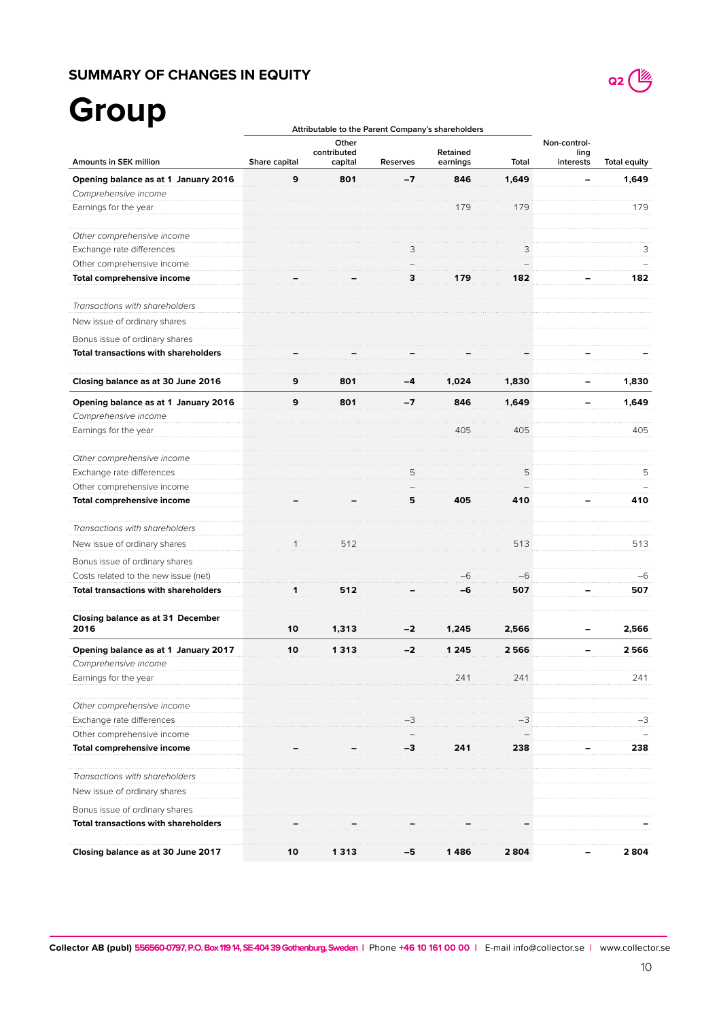## **SUMMARY OF CHANGES IN EQUITY**



# **Group**

|                                                              | Attributable to the Parent Company's shareholders |                                 |                 |                      |       |                                   |                     |
|--------------------------------------------------------------|---------------------------------------------------|---------------------------------|-----------------|----------------------|-------|-----------------------------------|---------------------|
| Amounts in SEK million                                       | Share capital                                     | Other<br>contributed<br>capital | <b>Reserves</b> | Retained<br>earnings | Total | Non-control-<br>ling<br>interests | <b>Total equity</b> |
| Opening balance as at 1 January 2016                         | 9                                                 | 801                             | -7              | 846                  | 1,649 |                                   | 1,649               |
| Comprehensive income                                         |                                                   |                                 |                 |                      |       |                                   |                     |
| Earnings for the year                                        |                                                   |                                 |                 | 179                  | 179   |                                   | 179                 |
| Other comprehensive income                                   |                                                   |                                 |                 |                      |       |                                   |                     |
| Exchange rate differences                                    |                                                   |                                 | З               |                      | 3     |                                   | 3                   |
| Other comprehensive income                                   |                                                   |                                 |                 |                      |       |                                   |                     |
| Total comprehensive income                                   |                                                   |                                 | З               |                      | 182   |                                   | 182                 |
| Transactions with shareholders                               |                                                   |                                 |                 |                      |       |                                   |                     |
| New issue of ordinary shares                                 |                                                   |                                 |                 |                      |       |                                   |                     |
| Bonus issue of ordinary shares                               |                                                   |                                 |                 |                      |       |                                   |                     |
| <b>Total transactions with shareholders</b>                  |                                                   |                                 |                 |                      |       |                                   |                     |
| Closing balance as at 30 June 2016                           | 9                                                 | 801                             | -4              | 1,024                | 1,830 |                                   | 1,830               |
|                                                              | 9                                                 |                                 |                 |                      | 1.649 |                                   |                     |
| Opening balance as at 1 January 2016<br>Comprehensive income |                                                   | 801                             | -7              | 846                  |       |                                   | 1,649               |
| Earnings for the year                                        |                                                   |                                 |                 | 405                  | 405   |                                   | 405                 |
| Other comprehensive income                                   |                                                   |                                 |                 |                      |       |                                   |                     |
| Exchange rate differences                                    |                                                   |                                 | 5               |                      | 5     |                                   | 5                   |
| Other comprehensive income                                   |                                                   |                                 |                 |                      |       |                                   |                     |
| Total comprehensive income                                   |                                                   |                                 | 5               | 405                  | 410   |                                   | 410                 |
| Transactions with shareholders                               |                                                   |                                 |                 |                      |       |                                   |                     |
| New issue of ordinary shares                                 |                                                   | 512                             |                 |                      | 513   |                                   | 513                 |
| Bonus issue of ordinary shares                               |                                                   |                                 |                 |                      |       |                                   |                     |
| Costs related to the new issue (net)                         |                                                   |                                 |                 | -6                   | $-6$  |                                   | $-6$                |
| <b>Total transactions with shareholders</b>                  | 1                                                 | 512                             |                 | -6                   | 507   |                                   | 507                 |
| Closing balance as at 31 December<br>2016                    | 10                                                | 1,313                           | $-2$            | 1,245                | 2,566 |                                   | 2,566               |
| Opening balance as at 1 January 2017                         | 10                                                | 1313                            | -2              | 1 2 4 5              | 2566  |                                   | 2566                |
| Comprehensive income                                         |                                                   |                                 |                 |                      |       |                                   |                     |
| Earnings for the year                                        |                                                   |                                 |                 | 241                  | 241   |                                   | 241                 |
| Other comprehensive income                                   |                                                   |                                 |                 |                      |       |                                   |                     |
| Exchange rate differences                                    |                                                   |                                 |                 |                      |       |                                   | -3                  |
| Other comprehensive income                                   |                                                   |                                 |                 |                      |       |                                   |                     |
| Total comprehensive income                                   |                                                   |                                 |                 |                      | 238   |                                   | 238                 |
| Transactions with shareholders                               |                                                   |                                 |                 |                      |       |                                   |                     |
| New issue of ordinary shares                                 |                                                   |                                 |                 |                      |       |                                   |                     |
| Bonus issue of ordinary shares                               |                                                   |                                 |                 |                      |       |                                   |                     |
| <b>Total transactions with shareholders</b>                  |                                                   |                                 |                 |                      |       |                                   |                     |
| Closing balance as at 30 June 2017                           | 10                                                | 1 313                           | -5              | 1 486                | 2804  |                                   | 2804                |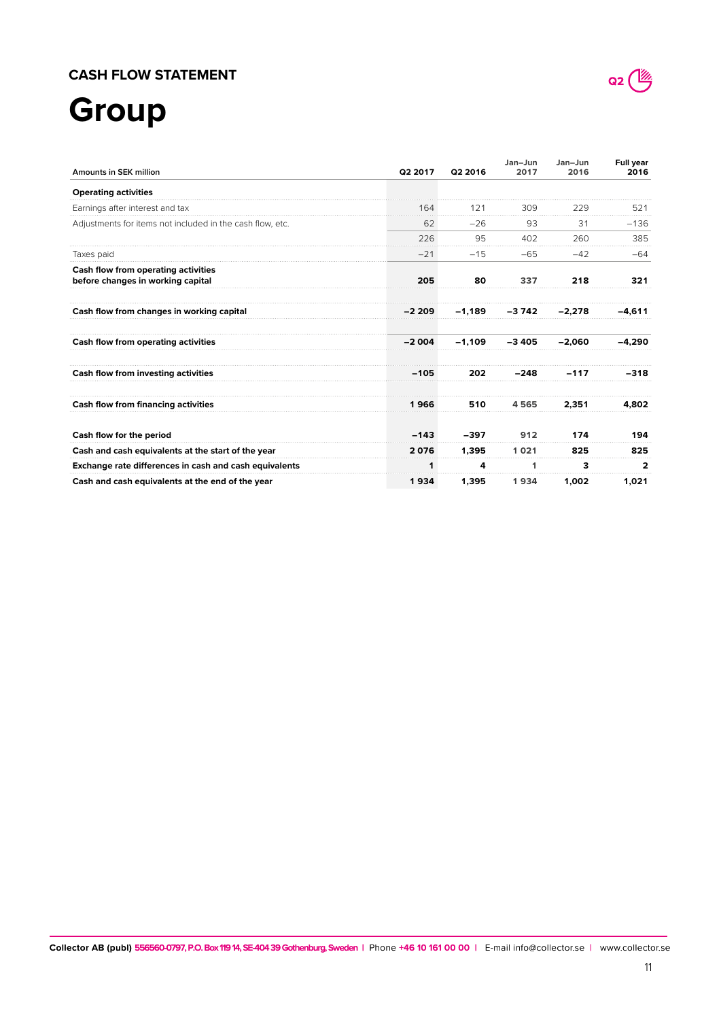## **CASH FLOW STATEMENT**

# **Group**

| <b>Amounts in SEK million</b>                                            | Q2 2017 | Q2 2016  | Jan-Jun<br>2017 | Jan-Jun<br>2016 | <b>Full year</b><br>2016 |
|--------------------------------------------------------------------------|---------|----------|-----------------|-----------------|--------------------------|
| <b>Operating activities</b>                                              |         |          |                 |                 |                          |
| Earnings after interest and tax                                          | 164     | 121      | 309             | 229             | 521                      |
| Adjustments for items not included in the cash flow, etc.                | 62      | $-26$    | 93              | 31              | $-136$                   |
|                                                                          | 226     | 95       | 402             | 260             | 385                      |
| Taxes paid                                                               | $-21$   | $-15$    | $-65$           | $-42$           | $-64$                    |
| Cash flow from operating activities<br>before changes in working capital | 205     | 80       | 337             | 218             | 321                      |
| Cash flow from changes in working capital                                | $-2209$ | $-1.189$ | $-3742$         | $-2.278$        | $-4,611$                 |
| Cash flow from operating activities                                      | $-2004$ | $-1,109$ | $-3405$         | $-2.060$        | $-4,290$                 |
| Cash flow from investing activities                                      | $-105$  | 202      | $-248$          | $-117$          | -318                     |
| Cash flow from financing activities                                      | 1966    | 510      | 4565            | 2.351           | 4.802                    |
| Cash flow for the period                                                 | $-143$  | $-397$   | 912             | 174             | 194                      |
| Cash and cash equivalents at the start of the year                       | 2076    | 1.395    | 1021            | 825             | 825                      |
| Exchange rate differences in cash and cash equivalents                   | 1       | 4        | 1               | 3               | 2                        |
| Cash and cash equivalents at the end of the year                         | 1934    | 1,395    | 1934            | 1,002           | 1,021                    |

**Collector AB (publ) 556560-0797, P.O. Box 119 14, SE-404 39 Gothenburg, Sweden |** Phone **+46 10 161 00 00 |** E-mail info@collector.se  **|** www.collector.se

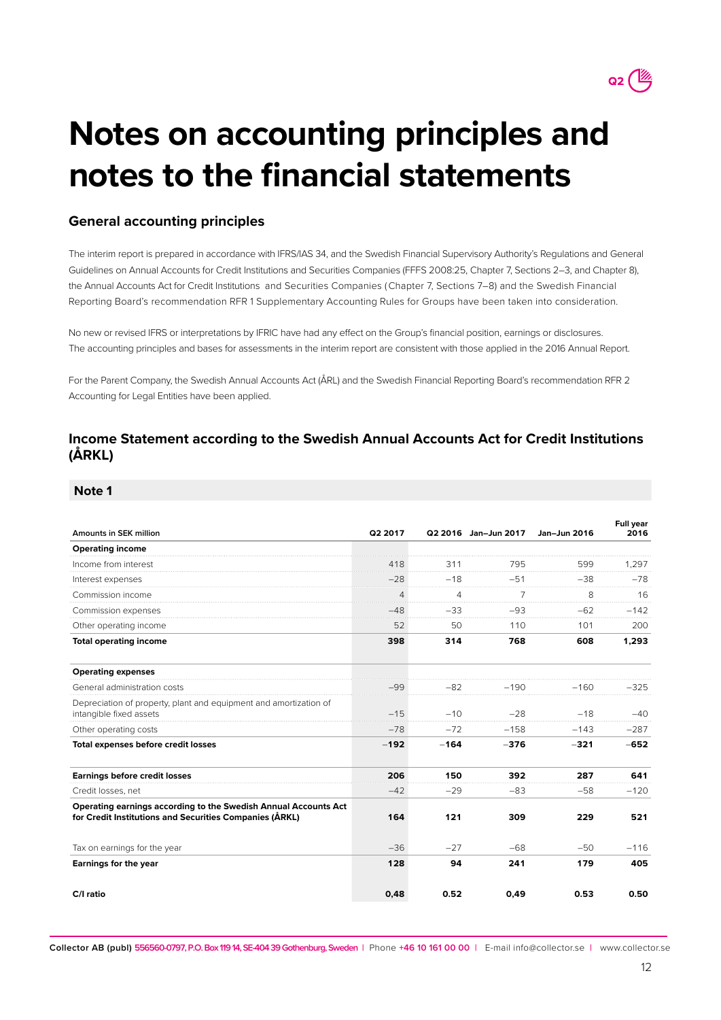

# **Notes on accounting principles and notes to the financial statements**

## **General accounting principles**

The interim report is prepared in accordance with IFRS/IAS 34, and the Swedish Financial Supervisory Authority's Regulations and General Guidelines on Annual Accounts for Credit Institutions and Securities Companies (FFFS 2008:25, Chapter 7, Sections 2–3, and Chapter 8), the Annual Accounts Act for Credit Institutions and Securities Companies ( Chapter 7, Sections 7–8) and the Swedish Financial Reporting Board's recommendation RFR 1 Supplementary Accounting Rules for Groups have been taken into consideration.

No new or revised IFRS or interpretations by IFRIC have had any effect on the Group's financial position, earnings or disclosures. The accounting principles and bases for assessments in the interim report are consistent with those applied in the 2016 Annual Report.

For the Parent Company, the Swedish Annual Accounts Act (ÅRL) and the Swedish Financial Reporting Board's recommendation RFR 2 Accounting for Legal Entities have been applied.

## **Income Statement according to the Swedish Annual Accounts Act for Credit Institutions (ÅRKL)**

## **Note 1**

| Amounts in SEK million                                                                                                     | Q2 2017 |        | Q2 2016 Jan-Jun 2017 | Jan-Jun 2016 | Full year<br>2016 |
|----------------------------------------------------------------------------------------------------------------------------|---------|--------|----------------------|--------------|-------------------|
| <b>Operating income</b>                                                                                                    |         |        |                      |              |                   |
| Income from interest                                                                                                       | 418     | 311    | 795                  | 599          | 1,297             |
| Interest expenses                                                                                                          | $-28$   | $-18$  | $-51$                | $-38$        | $-78$             |
| Commission income                                                                                                          | 4       | 4      | $\overline{7}$       | 8            | 16                |
| Commission expenses                                                                                                        | $-48$   | $-33$  | $-93$                | $-62$        | $-142$            |
| Other operating income                                                                                                     | 52      | 50     | 110                  | 101          | 200               |
| <b>Total operating income</b>                                                                                              | 398     | 314    | 768                  | 608          | 1,293             |
| <b>Operating expenses</b>                                                                                                  |         |        |                      |              |                   |
| General administration costs                                                                                               | $-99$   | -82    | $-190$               | –160         | $-325$            |
| Depreciation of property, plant and equipment and amortization of<br>intangible fixed assets                               | $-15$   | $-10$  | $-28$                | $-18$        | $-40$             |
| Other operating costs                                                                                                      | $-78$   | $-72$  | $-158$               | $-143$       | $-287$            |
| Total expenses before credit losses                                                                                        | $-192$  | $-164$ | $-376$               | $-321$       | $-652$            |
| <b>Earnings before credit losses</b>                                                                                       | 206     | 150    | 392                  | 287          | 641               |
| Credit losses, net                                                                                                         | $-42$   | $-29$  | $-83$                | $-58$        | $-120$            |
| Operating earnings according to the Swedish Annual Accounts Act<br>for Credit Institutions and Securities Companies (ÅRKL) | 164     | 121    | 309                  | 229          | 521               |
| Tax on earnings for the year                                                                                               | $-36$   | $-27$  | $-68$                | $-50$        | $-116$            |
| <b>Earnings for the year</b>                                                                                               | 128     | 94     | 241                  | 179          | 405               |
| C/I ratio                                                                                                                  | 0,48    | 0.52   | 0,49                 | 0.53         | 0.50              |

**Collector AB (publ) 556560-0797, P.O. Box 119 14, SE-404 39 Gothenburg, Sweden |** Phone **+46 10 161 00 00 |** E-mail info@collector.se **|** www.collector.se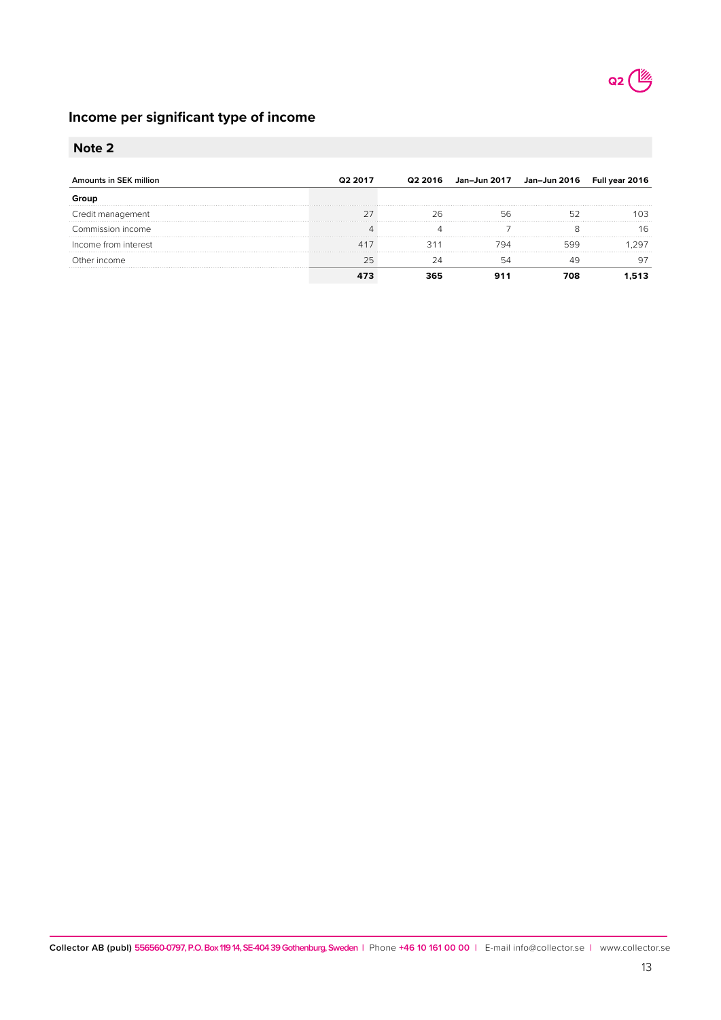

## **Income per significant type of income**

## **Note 2**

| unts in SFK million<br>Amo | Q2 2017 | 2 2016 | Jan-Jun 2017 | Jan–Jun 2016     Full year |    |
|----------------------------|---------|--------|--------------|----------------------------|----|
|                            |         |        |              |                            |    |
| Credit management          |         |        |              |                            |    |
| Commission income:         |         |        |              |                            | 16 |
| Income from interest       |         |        |              |                            |    |
| income                     |         |        |              |                            |    |
|                            |         |        |              |                            |    |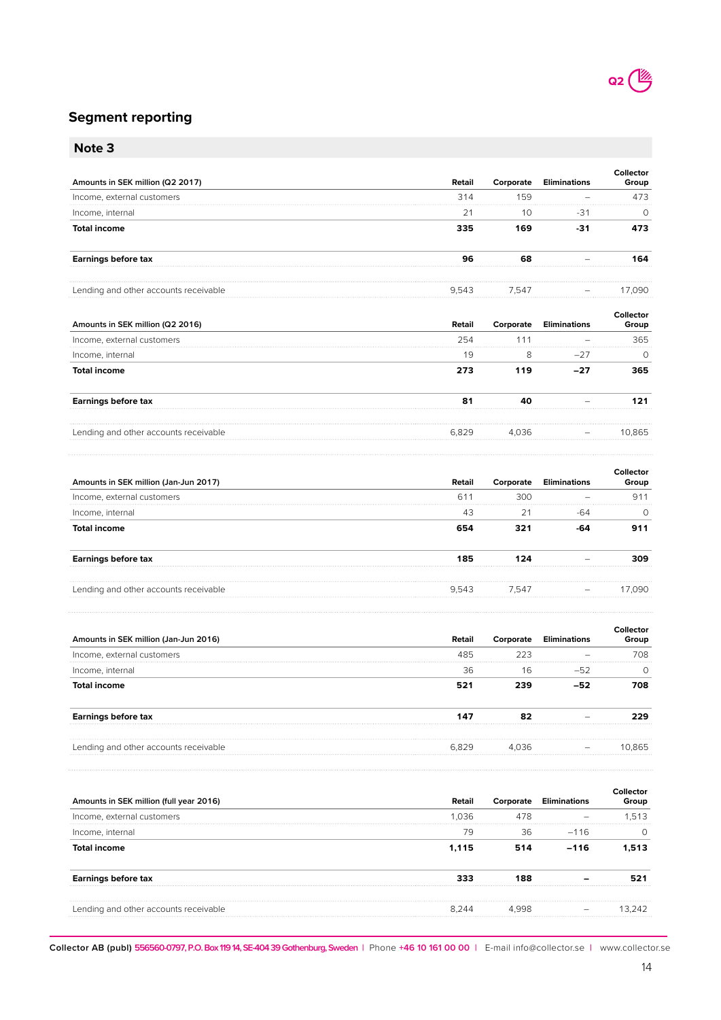## **Segment reporting**

|--|--|

| Note 3                                |        |           |                     |                    |
|---------------------------------------|--------|-----------|---------------------|--------------------|
| Amounts in SEK million (Q2 2017)      | Retail | Corporate | <b>Eliminations</b> | Collector<br>Group |
| Income, external customers            | 314    | 159       |                     | 473                |
| Income, internal                      | 21     | 10        | $-31$               | 0                  |
| <b>Total income</b>                   | 335    | 169       | $-31$               | 473                |
| <b>Earnings before tax</b>            | 96     | 68        |                     | 164                |
| Lending and other accounts receivable | 9,543  | 7,547     |                     | 17,090             |
| Amounts in SEK million (Q2 2016)      | Retail | Corporate | <b>Eliminations</b> | Collector<br>Group |
| Income, external customers            | 254    | 111       |                     | 365                |
| Income, internal                      | 19     | 8         | $-27$               | $\Omega$           |
| <b>Total income</b>                   | 273    | 119       | $-27$               | 365                |
| <b>Earnings before tax</b>            | 81     | 40        |                     | 121                |
| Lending and other accounts receivable | 6,829  | 4,036     |                     | 10,865             |
|                                       |        |           |                     |                    |

| Amounts in SEK million (Jan-Jun 2017) | Retail | Corporate | Eliminations | iroup |
|---------------------------------------|--------|-----------|--------------|-------|
| Income, external customers            | 61     | 300       |              | 91    |
| Income, internal                      | 43     |           |              |       |
| <b>Total income</b>                   |        |           |              |       |
| Earnings before tax                   | 185    |           |              |       |
| Lending and other accounts receivable | 9.543  | 7.547     |              | 790   |

| Amounts in SEK million (Jan-Jun 2016) | Retail | Corporate    | Eliminations | Group |
|---------------------------------------|--------|--------------|--------------|-------|
| Income, external customers            |        |              |              | 708   |
| Income, internal                      | 36     | $\mathsf{h}$ |              |       |
| Total income                          |        |              |              |       |
| Earnings before tax                   |        |              |              |       |
| Lending and other accounts receivable | 829    | 4 036        |              |       |

| Amounts in SEK million (full year 2016) | Retail | oraτe | Elimination | Group |
|-----------------------------------------|--------|-------|-------------|-------|
| Income, external customers              | 1.036  |       |             | .513  |
| Income, internal                        |        | 36    | $-116$      |       |
| Total income                            | 1.115  |       | $-116$      |       |
| Earnings before tax                     |        |       |             |       |
| Lending and other accounts receivable   | 8 244  |       |             |       |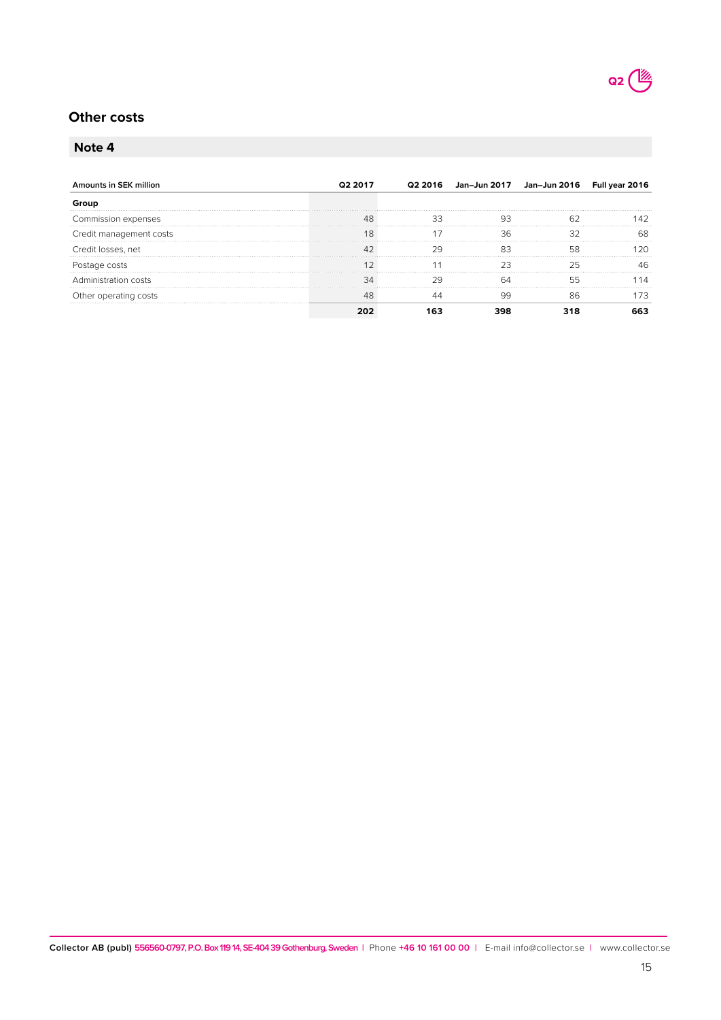

## **Other costs**

## **Note 4**

| Amounts in SEK million  | Q2 2017 | Q2 2016 Jan-Jun 2017 Jan-Jun 2016 Full year 2016 |  |
|-------------------------|---------|--------------------------------------------------|--|
|                         |         |                                                  |  |
| Commission expenses     |         |                                                  |  |
| Credit management costs |         |                                                  |  |
| Credit losses, net      |         |                                                  |  |
| Postage costs           |         |                                                  |  |
| Administration costs    |         |                                                  |  |
| Other operating costs   |         |                                                  |  |
|                         |         |                                                  |  |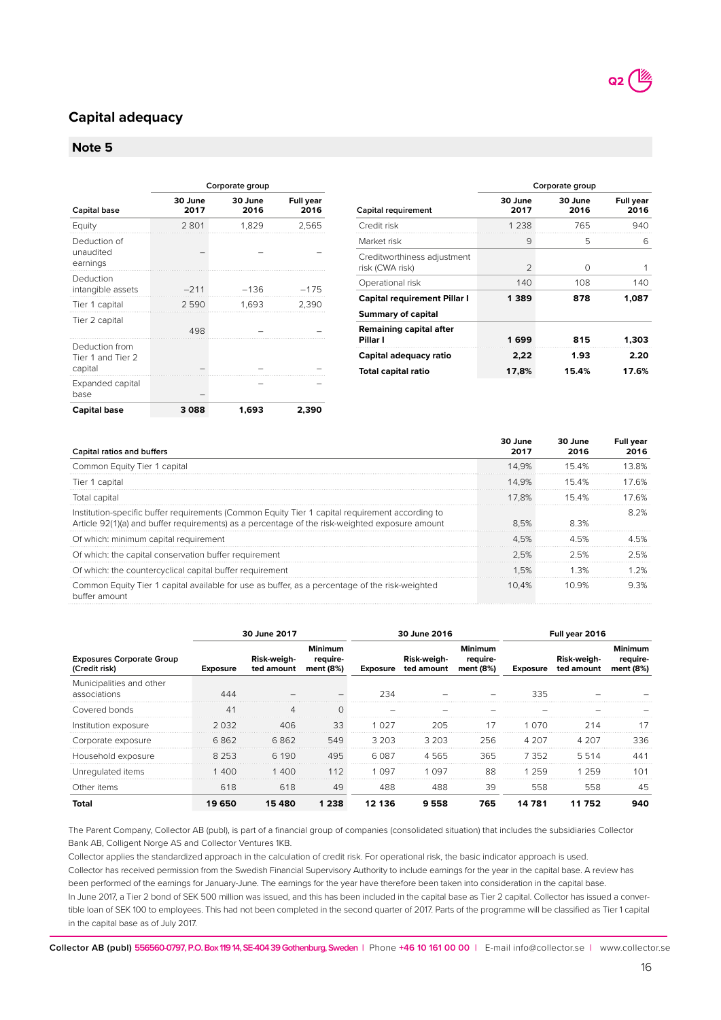## **Capital adequacy**

## **Note 5**

|                                                | Corporate group |                 |                          |  |  |  |
|------------------------------------------------|-----------------|-----------------|--------------------------|--|--|--|
| Capital base                                   | 30 June<br>2017 | 30 June<br>2016 | <b>Full year</b><br>2016 |  |  |  |
| Equity                                         | 2801            | 1,829           | 2,565                    |  |  |  |
| Deduction of<br>unaudited<br>earnings          |                 |                 |                          |  |  |  |
| Deduction<br>intangible assets                 | $-211$          | $-136$          | $-175$                   |  |  |  |
| Tier 1 capital                                 | 2590            | 1,693           | 2,390                    |  |  |  |
| Tier 2 capital                                 | 498             |                 |                          |  |  |  |
| Deduction from<br>Tier 1 and Tier 2<br>capital |                 |                 |                          |  |  |  |
| Expanded capital<br>base                       |                 |                 |                          |  |  |  |
| <b>Capital base</b>                            | 3088            | 1,693           | 2,390                    |  |  |  |

| Corporate group |                 |                          |  |  |  |
|-----------------|-----------------|--------------------------|--|--|--|
| 30 June<br>2017 | 30 June<br>2016 | <b>Full year</b><br>2016 |  |  |  |
| 1 238           | 765             | 940                      |  |  |  |
| 9               | 5               | 6                        |  |  |  |
| $\mathfrak{D}$  | O               | 1                        |  |  |  |
| 140             | 108             | 140                      |  |  |  |
| 1 3 8 9         | 878             | 1,087                    |  |  |  |
|                 |                 |                          |  |  |  |
| 1699            | 815             | 1,303                    |  |  |  |
| 2,22            | 1.93            | 2.20                     |  |  |  |
| 17,8%           | 15.4%           | 17.6%                    |  |  |  |
|                 |                 |                          |  |  |  |

Q2 (2

| Capital ratios and buffers                                                                                                                                                                        | 30 June<br>2017 | 30 June<br>2016 | <b>Full year</b><br>2016 |
|---------------------------------------------------------------------------------------------------------------------------------------------------------------------------------------------------|-----------------|-----------------|--------------------------|
| Common Equity Tier 1 capital                                                                                                                                                                      | 14.9%           | 154%            | 13.8%                    |
| Tier 1 capital                                                                                                                                                                                    | 14.9%           | 15.4%           | 17 6%                    |
| Total capital                                                                                                                                                                                     | 17.8%           | 154%            | 176%                     |
| Institution-specific buffer requirements (Common Equity Tier 1 capital requirement according to<br>Article 92(1)(a) and buffer requirements) as a percentage of the risk-weighted exposure amount | 8.5%            | 8.3%            | 8.2%                     |
| Of which: minimum capital requirement                                                                                                                                                             | 4.5%            | 4.5%            |                          |
| Of which: the capital conservation buffer requirement                                                                                                                                             | 2.5%            | 2.5%            | 25%                      |
| Of which: the countercyclical capital buffer requirement                                                                                                                                          | 1.5%            | 1.3%            | 7%                       |
| Common Equity Tier 1 capital available for use as buffer, as a percentage of the risk-weighted<br>buffer amount                                                                                   | 10.4%           | 1በ ዓ%           | 9.3%                     |

|                                                   | 30 June 2017    |                           |                                         | 30 June 2016    |                           |                                         |                 |                           |                                         |  |  | Full year 2016 |  |  |
|---------------------------------------------------|-----------------|---------------------------|-----------------------------------------|-----------------|---------------------------|-----------------------------------------|-----------------|---------------------------|-----------------------------------------|--|--|----------------|--|--|
| <b>Exposures Corporate Group</b><br>(Credit risk) | <b>Exposure</b> | Risk-weigh-<br>ted amount | <b>Minimum</b><br>require-<br>ment (8%) | <b>Exposure</b> | Risk-weigh-<br>ted amount | <b>Minimum</b><br>require-<br>ment (8%) | <b>Exposure</b> | Risk-weigh-<br>ted amount | <b>Minimum</b><br>require-<br>ment (8%) |  |  |                |  |  |
| Municipalities and other<br>associations          | 444             |                           |                                         | 234             |                           |                                         | 335             |                           |                                         |  |  |                |  |  |
| Covered bonds                                     | 41              |                           |                                         |                 |                           |                                         |                 |                           |                                         |  |  |                |  |  |
| Institution exposure                              | 2 0 3 2         | 406                       | 33                                      | 1.027           | 205                       | 17                                      | 1.070           | 214                       |                                         |  |  |                |  |  |
| Corporate exposure                                | 6862            | 6862                      | 549                                     | 3 203           | 3.203                     | 256                                     | 4 207           | 4.207                     | 336                                     |  |  |                |  |  |
| Household exposure                                | 8 2 5 3         | 6 1 9 0                   | 495                                     | 6.087           | 4565                      | 365                                     | 7 352           | 5514                      | 441                                     |  |  |                |  |  |
| Unregulated items                                 | 1 400           | 400                       | 112                                     | 1.097           | 1.097                     | 88                                      | 1 259           | 1 259                     | 101                                     |  |  |                |  |  |
| Other items                                       | 618             | 618                       | 49                                      | 488             | 488                       | 39                                      | 558             | 558                       | 45                                      |  |  |                |  |  |
| Total                                             | 19 650          | 15480                     | 1 238                                   | 12 136          | 9558                      | 765                                     | 14 781          | 11 752                    | 940                                     |  |  |                |  |  |

The Parent Company, Collector AB (publ), is part of a financial group of companies (consolidated situation) that includes the subsidiaries Collector Bank AB, Colligent Norge AS and Collector Ventures 1KB.

Collector applies the standardized approach in the calculation of credit risk. For operational risk, the basic indicator approach is used. Collector has received permission from the Swedish Financial Supervisory Authority to include earnings for the year in the capital base. A review has been performed of the earnings for January-June. The earnings for the year have therefore been taken into consideration in the capital base. In June 2017, a Tier 2 bond of SEK 500 million was issued, and this has been included in the capital base as Tier 2 capital. Collector has issued a convertible loan of SEK 100 to employees. This had not been completed in the second quarter of 2017. Parts of the programme will be classified as Tier 1 capital in the capital base as of July 2017.

**Collector AB (publ) 556560-0797, P.O. Box 119 14, SE-404 39 Gothenburg, Sweden |** Phone **+46 10 161 00 00 |** E-mail info@collector.se **|** www.collector.se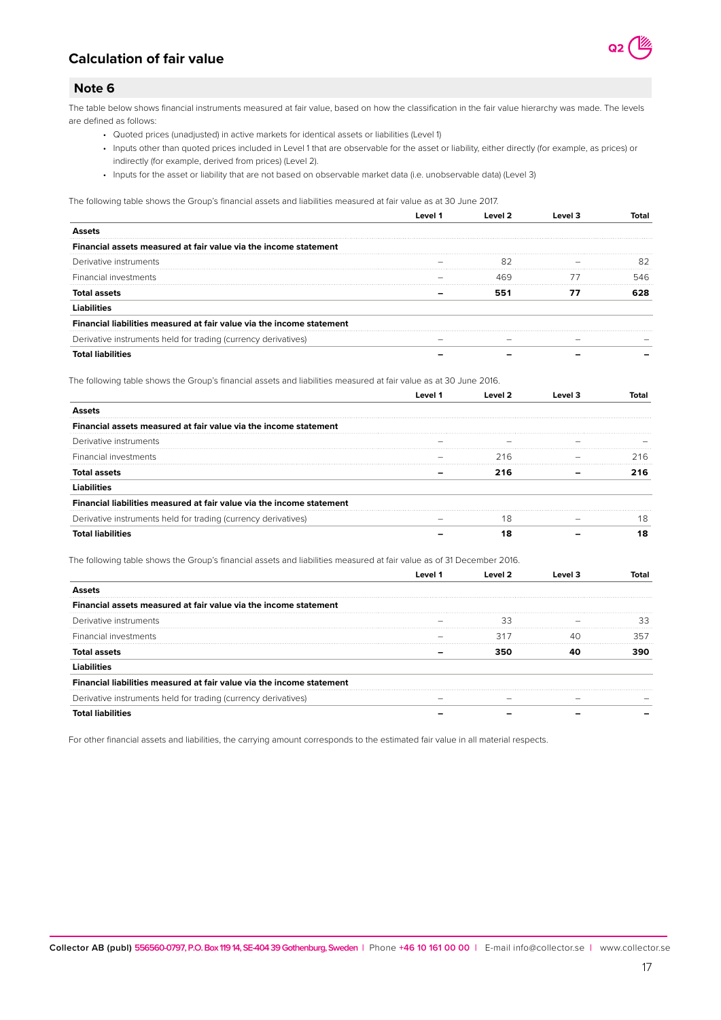

## **Calculation of fair value**

## **Note 6**

The table below shows financial instruments measured at fair value, based on how the classification in the fair value hierarchy was made. The levels are defined as follows:

- Quoted prices (unadjusted) in active markets for identical assets or liabilities (Level 1)
- Inputs other than quoted prices included in Level 1 that are observable for the asset or liability, either directly (for example, as prices) or indirectly (for example, derived from prices) (Level 2).
- Inputs for the asset or liability that are not based on observable market data (i.e. unobservable data) (Level 3)

The following table shows the Group's financial assets and liabilities measured at fair value as at 30 June 2017.

| Financial assets measured at fair value via the income statement      |  |  |
|-----------------------------------------------------------------------|--|--|
| Derivative instruments                                                |  |  |
| Financial investments                                                 |  |  |
|                                                                       |  |  |
|                                                                       |  |  |
| Financial liabilities measured at fair value via the income statement |  |  |
| Derivative instruments held for trading (currency derivatives)        |  |  |
|                                                                       |  |  |

The following table shows the Group's financial assets and liabilities measured at fair value as at 30 June 2016.

| Financial assets measured at fair value via the income statement      |     |    |
|-----------------------------------------------------------------------|-----|----|
| Derivative instruments                                                |     |    |
| Financial investments                                                 | 216 | 16 |
| Total assets                                                          |     |    |
|                                                                       |     |    |
| Financial liabilities measured at fair value via the income statement |     |    |
| Derivative instruments held for trading (currency derivatives)        | 18  | 18 |
|                                                                       |     | 18 |

The following table shows the Group's financial assets and liabilities measured at fair value as of 31 December 2016.

| ncial assets measured at fair value via the income statement<br>Finan |     |  |
|-----------------------------------------------------------------------|-----|--|
| Derivative instruments                                                |     |  |
| Financial investments                                                 | 31. |  |
| Total assets                                                          |     |  |
|                                                                       |     |  |
| Financial liabilities measured at fair value via the income statement |     |  |
| Derivative instruments held for trading (currency derivatives)        |     |  |
|                                                                       |     |  |

For other financial assets and liabilities, the carrying amount corresponds to the estimated fair value in all material respects.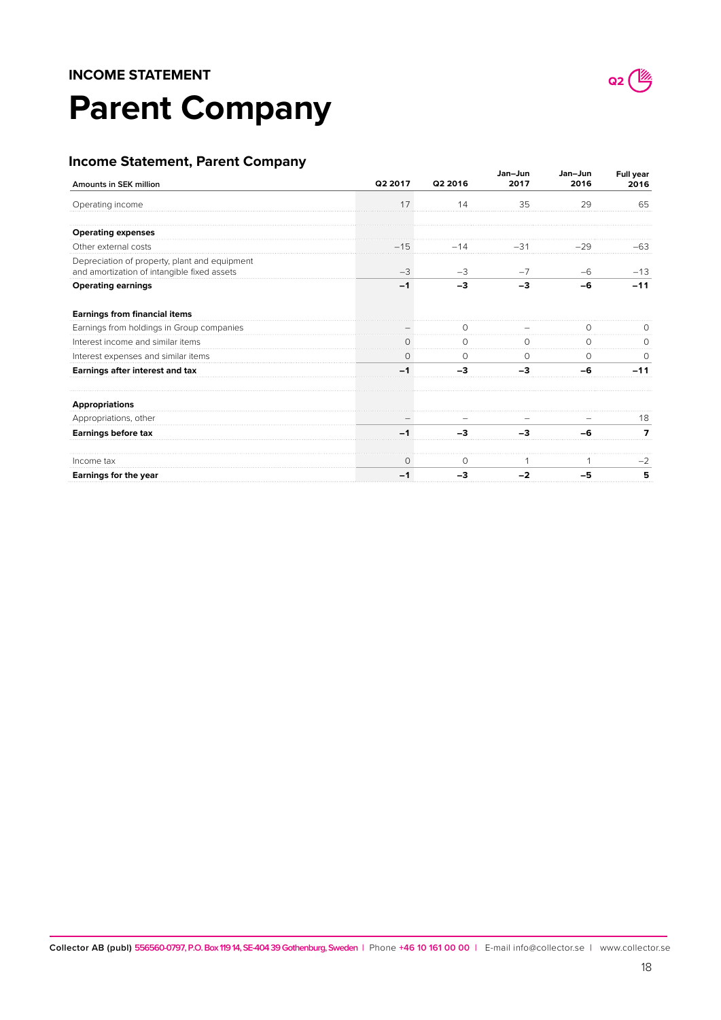# **Parent Company**

## **Income Statement, Parent Company**

| Amounts in SEK million                                                                       | Q2 2017  | Q2 2016  | Jan-Jun<br>2017 | Jan-Jun<br>2016 | <b>Full year</b><br>2016 |
|----------------------------------------------------------------------------------------------|----------|----------|-----------------|-----------------|--------------------------|
| Operating income                                                                             | 17       | 14       | 35              | 29              | 65                       |
| <b>Operating expenses</b>                                                                    |          |          |                 |                 |                          |
| Other external costs                                                                         | $-15$    | $-14$    | $-31$           | $-29$           | -63                      |
| Depreciation of property, plant and equipment<br>and amortization of intangible fixed assets | $-3$     | $-3$     | $-7$            | $-6$            | $-13$                    |
| <b>Operating earnings</b>                                                                    | $-1$     | -3       | -3              | -6              | $-11$                    |
| <b>Earnings from financial items</b>                                                         |          |          |                 |                 |                          |
| Earnings from holdings in Group companies                                                    |          | U        |                 |                 |                          |
| Interest income and similar items                                                            |          |          |                 |                 |                          |
| Interest expenses and similar items                                                          | $\Omega$ | $\Omega$ | $\Omega$        | $\Omega$        | $\Omega$                 |
| Earnings after interest and tax                                                              |          | $-3$     | -3              | -6              | $-11$                    |
| <b>Appropriations</b>                                                                        |          |          |                 |                 |                          |
| Appropriations, other                                                                        |          |          |                 |                 | 18                       |
| <b>Earnings before tax</b>                                                                   |          | -3       | -3              | -6              |                          |
| Income tax                                                                                   | $\circ$  | 0        |                 |                 | $-2$                     |
| Earnings for the year                                                                        | -1       | -3       | $-2$            | -5              | 5                        |